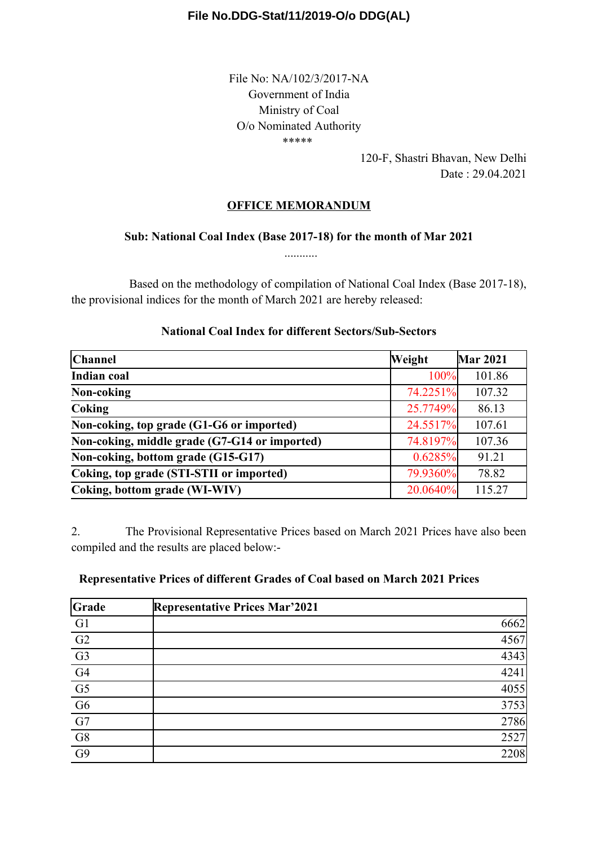### **File No.DDG-Stat/11/2019-O/o DDG(AL)**

File No: NA/102/3/2017-NA Government of India Ministry of Coal O/o Nominated Authority \*\*\*\*\*

> 120-F, Shastri Bhavan, New Delhi Date : 29.04.2021

# **OFFICE MEMORANDUM**

### **Sub: National Coal Index (Base 2017-18) for the month of Mar 2021** ...........

Based on the methodology of compilation of National Coal Index (Base 2017-18), the provisional indices for the month of March 2021 are hereby released:

| Channel                                       | Weight   | <b>Mar 2021</b> |
|-----------------------------------------------|----------|-----------------|
| <b>Indian coal</b>                            | 100%     | 101.86          |
| Non-coking                                    | 74.2251% | 107.32          |
| Coking                                        | 25.7749% | 86.13           |
| Non-coking, top grade (G1-G6 or imported)     | 24.5517% | 107.61          |
| Non-coking, middle grade (G7-G14 or imported) | 74.8197% | 107.36          |
| Non-coking, bottom grade (G15-G17)            | 0.6285%  | 91.21           |
| Coking, top grade (STI-STII or imported)      | 79.9360% | 78.82           |
| Coking, bottom grade (WI-WIV)                 | 20.0640% | 115.27          |

#### **National Coal Index for different Sectors/Sub-Sectors**

2. The Provisional Representative Prices based on March 2021 Prices have also been compiled and the results are placed below:-

| Grade                                                                          | <b>Representative Prices Mar'2021</b> |      |
|--------------------------------------------------------------------------------|---------------------------------------|------|
| G <sub>1</sub>                                                                 |                                       | 6662 |
| $\frac{\overline{G2}}{\frac{G3}{G4}}$<br>$\frac{\overline{G4}}{\overline{G5}}$ |                                       | 4567 |
|                                                                                |                                       | 4343 |
|                                                                                |                                       | 4241 |
|                                                                                |                                       | 4055 |
|                                                                                |                                       | 3753 |
| $\overline{G7}$                                                                |                                       | 2786 |
| $\overline{\text{G8}}$                                                         |                                       | 2527 |
| $\overline{G9}$                                                                |                                       | 2208 |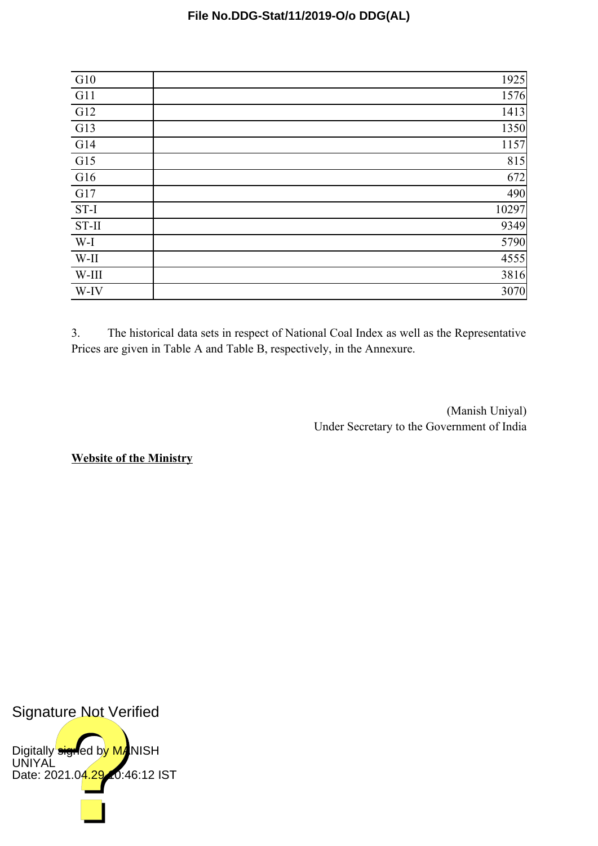## **File No.DDG-Stat/11/2019-O/o DDG(AL)**

| G10              | 1925  |
|------------------|-------|
| G <sub>11</sub>  | 1576  |
| $\overline{G12}$ | 1413  |
| $\overline{G13}$ | 1350  |
| G14              | 1157  |
| $\overline{G15}$ | 815   |
| $\overline{G16}$ | 672   |
| G17              | 490   |
| $ST-I$           | 10297 |
| $ST-II$          | 9349  |
| $W-I$            | 5790  |
| $W-II$           | 4555  |
| W-III            | 3816  |
| W-IV             | 3070  |

3. The historical data sets in respect of National Coal Index as well as the Representative Prices are given in Table A and Table B, respectively, in the Annexure.

> (Manish Uniyal) Under Secretary to the Government of India

**Website of the Ministry**

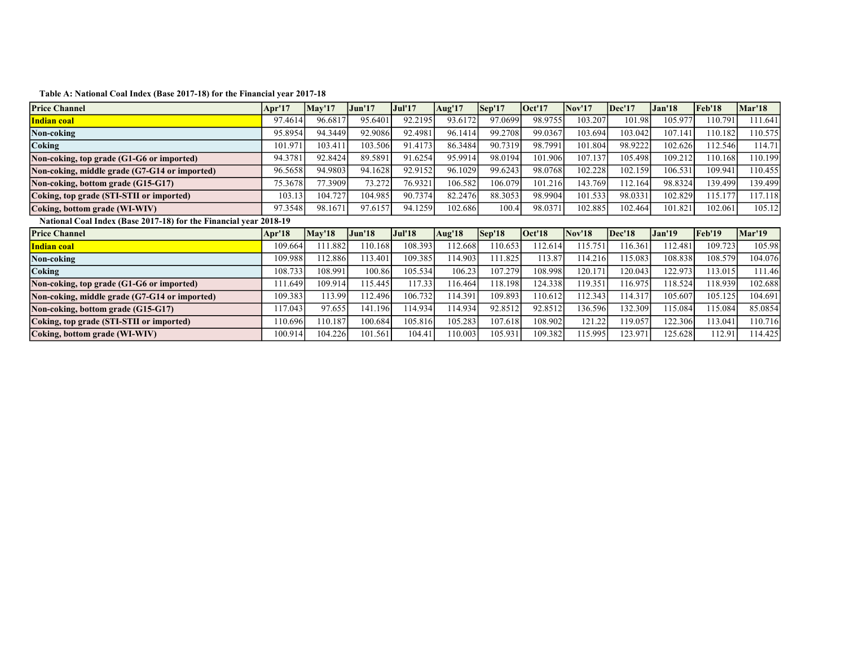| <b>Price Channel</b>                                                            | Apr'17  | May'17        | Jun'17        | <b>Jul'17</b> | Aug'17  | Sep'17            | Oct'17  | Nov'17        | Dec'17        | <b>Jan'18</b> | Feb'18  | <b>Mar'18</b> |
|---------------------------------------------------------------------------------|---------|---------------|---------------|---------------|---------|-------------------|---------|---------------|---------------|---------------|---------|---------------|
| <b>Indian coal</b>                                                              | 97.4614 | 96.6817       | 95.6401       | 92.2195       | 93.6172 | 97.0699           | 98.9755 | 103.207       | 101.98        | 105.977       | 110.791 | 111.641       |
| Non-coking                                                                      | 95.8954 | 94.3449       | 92.9086       | 92.4981       | 96.1414 | 99.2708           | 99.0367 | 103.694       | 103.042       | 107.141       | 110.182 | 110.575       |
| Coking                                                                          | 101.971 | 103.411       | 103.506       | 91.4173       | 86.3484 | 90.7319           | 98.7991 | 101.804       | 98.9222       | 102.626       | 112.546 | 114.71        |
| Non-coking, top grade (G1-G6 or imported)                                       | 94.3781 | 92.8424       | 89.5891       | 91.6254       | 95.9914 | 98.0194           | 101.906 | 107.137       | 105.498       | 109.212       | 110.168 | 10.199        |
| Non-coking, middle grade (G7-G14 or imported)                                   | 96.5658 | 94.9803       | 94.1628       | 92.9152       | 96.1029 | 99.6243           | 98.0768 | 102.228       | 102.159       | 106.531       | 109.941 | 10.455        |
| Non-coking, bottom grade (G15-G17)                                              | 75.3678 | 77.3909       | 73.272        | 76.9321       | 106.582 | 106.079           | 101.216 | 143.769       | 112.164       | 98.8324       | 139.499 | 139.499       |
| Coking, top grade (STI-STII or imported)                                        | 103.13  | 104.727       | 104.985       | 90.7374       | 82.2476 | 88.3053           | 98.9904 | 101.533       | 98.0331       | 102.829       | 115.177 | 117.118       |
| Coking, bottom grade (WI-WIV)                                                   | 97.3548 | 98.1671       | 97.6157       | 94.1259       | 102.686 | 100.4             | 98.0371 | 102.885       | 102.464       | 101.821       | 102.061 | 105.12        |
| National Coal Index (Base 2017-18) for the Financial year 2018-19               |         |               |               |               |         |                   |         |               |               |               |         |               |
| <b>Price Channel</b>                                                            | Apr'18  |               |               |               |         | $\textsf{Sep'18}$ |         |               |               |               |         |               |
|                                                                                 |         | <b>May'18</b> | <b>Jun'18</b> | <b>Jul'18</b> | Aug'18  |                   | Oct'18  | <b>Nov'18</b> | <b>Dec'18</b> | <b>Jan'19</b> | Feb'19  | <b>Mar'19</b> |
| <b>Indian coal</b>                                                              | 109.664 | 111.882       | 110.168       | 108.393       | 112.668 | 110.653           | 112.614 | 115.751       | 116.361       | 112.481       | 109.723 | 105.98        |
| Non-coking                                                                      | 109.988 | 112.886       | 113.401       | 109.385       | 114.903 | 111.825           | 113.87  | 14.216        | 115.083       | 108.838       | 108.579 | 104.076       |
| Coking                                                                          | 108.733 | 108.991       | 100.86        | 105.534       | 106.23  | 107.279           | 108.998 | 120.171       | 120.043       | 122.973       | 113.015 | 111.46        |
|                                                                                 | 111.649 | 109.914       | 115.445       | 117.33        | 116.464 | 118.198           | 124.338 | 119.351       | 116.975       | 118.524       | 118.939 | 102.688       |
| Non-coking, middle grade (G7-G14 or imported)                                   | 109.383 | 113.99        | 112.496       | 106.732       | 114.391 | 109.893           | 110.612 | 112.343       | 114.317       | 105.607       | 105.125 | 104.691       |
| Non-coking, top grade (G1-G6 or imported)<br>Non-coking, bottom grade (G15-G17) | 17.043  | 97.655        | 141.196       | 114.934       | 114.934 | 92.8512           | 92.8512 | 136.596       | 132.309       | 115.084       | 115.084 | 85.0854       |
| Coking, top grade (STI-STII or imported)                                        | 110.696 | 110.187       | 100.684       | 105.816       | 105.283 | 107.618           | 108.902 | 121.22        | 119.057       | 122.306       | 113.041 | 110.716       |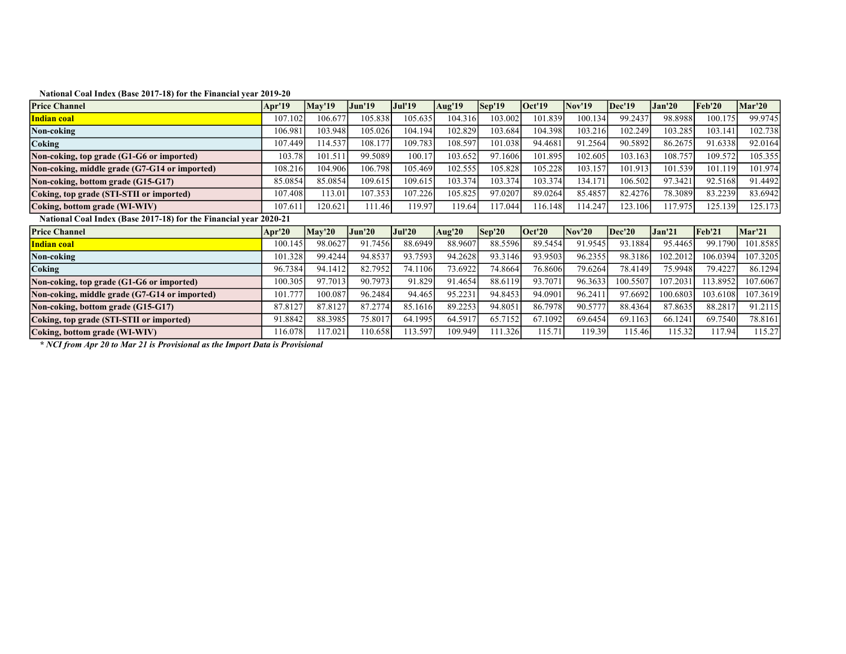| <b>Price Channel</b>                          | Apr'19                                                            | <b>May'19</b> | <b>Jun'19</b> | <b>Jul'19</b> | Aug'19   | $\textsf{Sep}'19$      | Oct'19  | <b>Nov'19</b> | Dec'19   | <b>Jan'20</b> | Feb'20   | Mar'20   |  |
|-----------------------------------------------|-------------------------------------------------------------------|---------------|---------------|---------------|----------|------------------------|---------|---------------|----------|---------------|----------|----------|--|
| Indian coal                                   | 107.102                                                           | 106.677       | 105.838       | 105.635       | 104.3161 | 103.002                | 101.839 | 100.134       | 99.2437  | 98.8988       | 100.175  | 99.9745  |  |
| Non-coking                                    | 106.981                                                           | 103.948       | 105.026       | 104.194       | 102.829  | 103.684                | 104.398 | 103.216       | 102.249  | 103.285       | 103.141  | 102.738  |  |
| Coking                                        | 107.449                                                           | 114.537       | 108.177       | 109.783       | 108.597  | 101.038                | 94.4681 | 91.2564       | 90.5892  | 86.2675       | 91.6338  | 92.0164  |  |
| Non-coking, top grade (G1-G6 or imported)     | 103.78                                                            | 101.511       | 99.5089       | 100.17        | 103.652  | 97.1606                | 101.895 | 102.605       | 103.163  | 108.757       | 109.572  | 105.355  |  |
| Non-coking, middle grade (G7-G14 or imported) | 108.216                                                           | 104.906       | 106.798       | 105.469       | 102.555  | 105.828                | 105.228 | 103.157       | 101.913  | 101.539       | 101.119  | 101.974  |  |
| Non-coking, bottom grade (G15-G17)            | 85.0854                                                           | 85.0854       | 109.615       | 109.615       | 103.374  | 103.374                | 103.374 | 134.171       | 106.502  | 97.3421       | 92.5168  | 91.4492  |  |
| Coking, top grade (STI-STII or imported)      | 107.408                                                           | 113.01        | 107.353       | 107.226       | 105.825  | 97.0207                | 89.0264 | 85.4857       | 82.4276  | 78.3089       | 83.2239  | 83.6942  |  |
| Coking, bottom grade (WI-WIV)                 | 107.61                                                            | 120.621       | 111.46        | 119.97        | 119.64   | 117.044                | 116.148 | 14.247        | 123.106  | 117.975       | 125.139  | 125.173  |  |
|                                               | National Coal Index (Base 2017-18) for the Financial year 2020-21 |               |               |               |          |                        |         |               |          |               |          |          |  |
| <b>Price Channel</b>                          | Apr'20                                                            | Mav'20        | <b>Jun'20</b> | <b>Jul'20</b> | Aug'20   | $\sqrt{\text{Sep}'20}$ | Oct'20  | <b>Nov'20</b> | Dec'20   | <b>Jan'21</b> | Feb'21   | Mar'21   |  |
| Indian coal                                   | 100.145                                                           | 98.0627       | 91.7456       | 88.6949       | 88.9607  | 88.5596                | 89.5454 | 91.9545       | 93.1884  | 95.4465       | 99.1790  | 101.8585 |  |
| Non-coking                                    | 101.328                                                           | 99.4244       | 94.8537       | 93.7593       | 94.2628  | 93.3146                | 93.9503 | 96.2355       | 98.3186  | 102.2012      | 106.0394 | 107.3205 |  |
| Coking                                        | 96.7384                                                           | 94.1412       | 82.7952       | 74.1106       | 73.6922  | 74.8664                | 76.8606 | 79.6264       | 78.4149  | 75.9948       | 79.4227  | 86.1294  |  |
| Non-coking, top grade (G1-G6 or imported)     | 100.305                                                           | 97.7013       | 90.7973       | 91.829        | 91.4654  | 88.6119                | 93.7071 | 96.3633       | 100.5507 | 107.2031      | 113.8952 | 107.6067 |  |
| Non-coking, middle grade (G7-G14 or imported) | 101.777                                                           | 100.087       | 96.2484       | 94.465        | 95.2231  | 94.8453                | 94.0901 | 96.241        | 97.6692  | 100.6803      | 103.6108 | 107.3619 |  |
| Non-coking, bottom grade (G15-G17)            | 87.812                                                            | 87.8127       | 87.2774       | 85.1616       | 89.2253  | 94.8051                | 86.7978 | 90.5777       | 88.4364  | 87.8635       | 88.2817  | 91.2115  |  |
| Coking, top grade (STI-STII or imported)      | 91.8842                                                           | 88.3985       | 75.8017       | 64.1995       | 64.5917  | 65.7152                | 67.1092 | 69.6454       | 69.1163  | 66.1241       | 69.7540  | 78.8161  |  |
|                                               |                                                                   |               |               |               |          |                        |         |               |          |               |          |          |  |

\* NCI from Apr 20 to Mar 21 is Provisional as the Import Data is Provisional